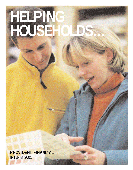## **HELPING HOUSEHOLDS…**

**PROVIDENT FINANCIAL** INTERIM 2001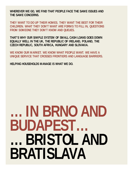**WHEREVER WE GO, WE FIND THAT PEOPLE FACE THE SAME ISSUES AND THE SAME CONCERNS.** 

**THEY WANT TO DO UP THEIR HOMES. THEY WANT THE BEST FOR THEIR CHILDREN. WHAT THEY DON'T WANT ARE FORMS TO FILL IN, QUESTIONS FROM SOMEONE THEY DON'T KNOW AND QUEUES.**

**THAT'S WHY OUR SIMPLE SYSTEM OF SMALL CASH LOANS GOES DOWN EQUALLY WELL IN THE UK, THE REPUBLIC OF IRELAND, POLAND, THE CZECH REPUBLIC, SOUTH AFRICA, HUNGARY AND SLOVAKIA.**

**WE KNOW OUR MARKET. WE KNOW WHAT PEOPLE WANT. WE HAVE A UNIQUE SERVICE THAT CROSSES FRONTIERS AND LANGUAGE BARRIERS.**

**HELPING HOUSEHOLDS MANAGE IS WHAT WE DO.** 

## **…IN BRNO AND BUDAPEST… …BRISTOL AND BRATISLAVA**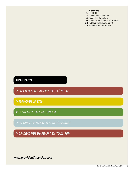#### **Contents**

- **1** Highlights
- **2** Chairman's statement
- **4** Financial information
- **9** Notes to the financial information
- **12** Independent review report
- **13** Shareholder information

## **HIGHLIGHTS**

- **>** *PROFIT BEFORE TAX UP 7.8% TO £70.2M*
- **>** *TURNOVER UP 17%*
- **>** *CUSTOMERS UP 15% TO 3.4M*
- **>** *EARNINGS PER SHARE UP 7.5% TO 20.52P*
- **>** *DIVIDEND PER SHARE UP 7.8% TO 11.75P*

*www.providentfinancial.com*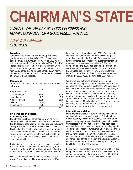# **CHAIRMAN'S STATE**

*OVERALL, WE ARE MAKING GOOD PROGRESS AND REMAIN CONFIDENT OF A GOOD RESULT FOR 2001.*

*JOHN VAN KUFFELER CHAIRMAN*

#### **Overview**

I am pleased to announce that the group has made good progress in the first half of 2001. We achieved strong growth, with turnover up by 17% to £399 million and customers up by 15% to 3.4 million (2000 2.9 million). Profit before tax increased 7.8% to £70.2 million (2000 £65.1 million). Earnings per share increased by 7.5% from 19.08 pence to 20.52 pence per share. An interim dividend of 11.75 pence (2000 10.9 pence), an increase of 7.8%, has been declared.

#### **Operations**

An analysis of the results for the first half of 2001 is set out below:

| Half year ended 30 June | 2001<br>f m | 2000<br>f m |
|-------------------------|-------------|-------------|
| UK home credit          | 61.3        | 60.3        |
| International           | (2.3)       | (6.9)       |
| Motor insurance         | 19.4        | 16.3        |
| balance                 | (1.8)       | (0.6)       |
| Central costs           | (6.4)       | (4.0)       |
|                         | 7N 2        | 651         |

#### **UK home credit division Explanatory note**

*The 2000 financial year comprised 53 working weeks, the last of which fell between Christmas and New Year. This traditionally poor week for credit issued and collections usually forms the first week of the new financial year. This has had the effect of inflating the growth in turnover, credit issued and collections in the first half of 2001 and distorting the comparison with the first half of 2000. In order to give a true comparative, adjusted 'like for like' figures are provided.* 

Trading in the first half of the year has been as expected. Turnover for the UK home credit division rose by 5.6% (3.4% like for like) to £224.3 million and profit before tax increased by 1.7% to £61.3 million (2000 £60.3 million).

The UK home credit market remains competitive but stable. The market conditions we experienced in 2000 have, as expected, continued into 2001. Consequently, we have continued to focus on maintaining the quality of our lending and in the first half of this year we have further tightened our controls over customer recruitment. Customer numbers have fallen slightly (0.8%), as compared to June 2000. Bad debt as a percentage of credit issued has remained stable at 8.2% (June 2000 8.2%). Credit issued grew by 7.3% (3.5% like for like) in the first half of 2001 to £390.6 million and collections were up by 6.3% (4.5% like for like) to £634 million.

We are working actively to improve our customer recruitment techniques in order to increase the recruitment and retention of good quality customers. We have recently launched a Provident branded home-shopping catalogue produced and managed by Findel plc. In addition, we intend to roll out the cross-selling of motor insurance, which we piloted successfully last year, throughout the agent network. As a result, promotional expenditure has increased by over £2 million in the first half of the year and we expect to see the benefit of these initiatives in improved customer growth during the second half.

#### **International division**

In the international division, our aims for this year were to continue with rapid customer growth in Poland and the Czech Republic, bringing both countries into profit for the year, and to open pilot operations in Hungary and Slovakia. Our progress in the first half of this year has been good with both Poland and the Czech Republic reporting a profit. The division has reported turnover up 258% to £46.2 million and a half year loss of £2.3 million, much reduced from the £6.9 million loss at the 2000 half year. This includes an investment of £1.3 million in start-up losses in launching our home credit service in Hungary and Slovakia. Customer numbers for the division have increased by 141,000 (28%) to 641,000 in the first half of the year.

Poland has for the first time reported a profit of £0.9 million compared to a loss of £3.4 million in the first half of 2000 and customer numbers have grown by 111,000 (36.4%) from 305,000 to 416,000 in the first half of the year.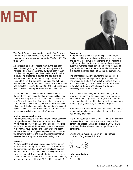## **MENT**



The Czech Republic has reported a profit of £0.8 million compared to a first half loss in 2000 of £1.4 million and customer numbers grew by 23,000 (14.3%) from 161,000 to 184,000.

As expected, as the businesses mature, the bad debt rate in the fast growing Central European operations is increasing from the exceptionally low levels seen in 2000. In Poland, our largest international market, credit quality is developing broadly as expected and bad debts as a percentage of credit issued are running at around 6% (June 2000 4.3%). In the Czech Republic, bad debt as a percentage of credit issued has increased a little more than was expected to 7.25% (June 2000 4.0%) and prices have been increased to compensate for the additional costs.

South Africa remains a small part of the international division. It has experienced tougher trading conditions and, in particular, rising levels of bad debt in the first half of this year. This is disappointing after the substantial improvement in performance seen in the second half of 2000. We have taken remedial action, shortening the maturity of loans and tightening lending criteria. We intend to review the success of these actions in the second half of this year.

#### **Motor insurance division**

The motor insurance division has performed well, benefiting from good conditions in the motor insurance market. Profits were up by 19% to £19.4 million and policyholders up by 18% to 833,000. As expected, premium increases in the market have slowed significantly, averaging about 5% in the first half of this year compared to about 10% at the same time last year and there are clear signs that we have reached the top of the insurance pricing cycle.

#### **balance**

We have piloted a bill paying service in a small number of UK locations during the last year. In June we reviewed the performance of these pilots and concluded that the prospects for the service were insufficiently good to merit further investment. Consequently, the business has been closed. A loss of £1.8 million, inclusive of all closure costs, was incurred in the first half of 2001 (2000 £0.6 million).

#### **Prospects**

In the UK home credit division we expect the current market conditions to continue for this year and into next and so we will continue to concentrate on maintaining the quality of our lending. As a result, we continue to expect customer numbers, credit issued and profits for 2001 to grow at similar rates to those in 2000. The bad debt ratio is expected to remain stable at around the current level.

The international division's customer numbers, credit issued and profits are expected to grow substantially. The division as a whole is on target to report a profit in 2001, after bearing start-up losses of about £4 million in developing Hungary and Slovakia and to earn increasing levels of profit thereafter.

We are closely monitoring the quality of lending in the division. In response to the recent increase in bad debt, we intend to ease slightly the rate of growth in customer numbers and credit issued to allow the better management of credit quality, particularly in the Czech Republic.

We continue to believe home credit has wide international appeal and our aim remains to launch our service in one new country each year.

The motor insurance market is cyclical and we are currently benefiting from conditions at the top of the cycle. We continue to expect another good result in 2001 but we have seen the first signs of more competitive market conditions.

Overall, we are making good progress and remain confident of a good result for 2001.

**John van Kuffeler** Chairman 23 July 2001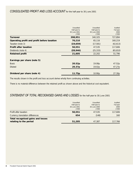## *CONSOLIDATED PROFIT AND LOSS ACCOUNT* for the half-year to 30 June 2001

|                                             | Unaudited          | Unaudited    | Audited   |
|---------------------------------------------|--------------------|--------------|-----------|
|                                             | Half-year to       | Half-year to | Full year |
|                                             | 30 June 2001       | 30 June 2000 | 2000      |
|                                             | £'000              | £'000        | £'000     |
| Turnover                                    | 398,951            | 340,325      | 727,894   |
| Operating profit and profit before taxation | 70,210             | 65,116       | 160,219   |
| Taxation (note 3)                           | (19, 659)          | (17, 581)    | (42, 613) |
| <b>Profit after taxation</b>                | 50,551             | 47,535       | 117,606   |
| Dividends (note 4)                          | (28, 946)          | (25, 333)    | (65, 810) |
| <b>Retained profit</b>                      | 21,605             | 22,202       | 51,796    |
| Earnings per share (note 5)                 |                    |              |           |
| <b>Basic</b>                                | 20.52 <sub>p</sub> | 19.08p       | 47.52p    |
| <b>Diluted</b>                              | 20.37p             | 19.02p       | 47.27p    |
| Dividend per share (note 4)                 | 11.75p             | 10.90p       | 27.30p    |

The results shown in the profit and loss account derive wholly from continuing activities.

There is no material difference between the retained profit as shown above and the historical cost equivalent.

## *STATEMENT OF TOTAL RECOGNISED GAINS AND LOSSES* for the half-year to 30 June 2001

| <b>Total recognised gains and losses</b><br>relating to the period | 51,205                    | 47.387                           | 117,766              |
|--------------------------------------------------------------------|---------------------------|----------------------------------|----------------------|
| Currency translation differences                                   | 654                       | (148)                            | 160                  |
| Profit after taxation                                              | 50,551                    | 47,535                           | 117,606              |
|                                                                    | 30 June 2001<br>£'000     | 30 June 2000<br>£'000            | 2000<br>£'000        |
|                                                                    | Unaudited<br>Half-year to | <b>Unaudited</b><br>Half-year to | Audited<br>Full year |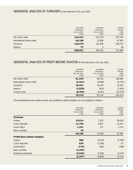|                           | Unaudited<br>Half-year to<br>30 June 2001<br>£'000 | Unaudited<br>Half-year to<br>30 June 2000<br>£'000 | Audited<br>Full year<br>2000<br>£'000 |
|---------------------------|----------------------------------------------------|----------------------------------------------------|---------------------------------------|
| UK home credit            | 224,267                                            | 212,374                                            | 457,242                               |
| International home credit | 46,168                                             | 12.909                                             | 41,901                                |
| Insurance                 | 128,479                                            | 115,038                                            | 228,723                               |
| balance                   | 37                                                 | 4                                                  | 28                                    |
|                           | 398,951                                            | 340,325                                            | 727.894                               |

### *SEGMENTAL ANALYSIS OF PROFIT BEFORE TAXATION* for the half-year to 30 June 2001

|                           | Unaudited<br>Half-year to<br>30 June 2001<br>£'000 | Unaudited<br>Half-year to<br>30 June 2000<br>£'000 | Audited<br>Full year<br>2000<br>£'000 |
|---------------------------|----------------------------------------------------|----------------------------------------------------|---------------------------------------|
| UK home credit            | 61,329                                             | 60,332                                             | 146,985                               |
| International home credit | (2, 347)                                           | (6,860)                                            | (6, 745)                              |
| Insurance                 | 19,451                                             | 16,259                                             | 32,042                                |
| balance                   | (1,828)                                            | (614)                                              | (1, 493)                              |
| Central costs             | (6, 395)                                           | (4,001)                                            | (10, 570)                             |
|                           | 70,210                                             | 65,116                                             | 160,219                               |

The international home credit turnover and profit/(loss) before taxation can be analysed as follows:

|                               | Unaudited<br>Half-year to<br>30 June 2001<br>£'000 | Unaudited<br>Half-year to<br>30 June 2000<br>£'000 | Audited<br>Full year<br>2000<br>£'000 |
|-------------------------------|----------------------------------------------------|----------------------------------------------------|---------------------------------------|
| <b>Turnover</b>               |                                                    |                                                    |                                       |
| Poland                        | 33,014                                             | 7,525                                              | 26,020                                |
| Czech Republic                | 11,794                                             | 4,867                                              | 14,167                                |
| South Africa                  | 1,331                                              | 517                                                | 1,714                                 |
| New countries                 | 29                                                 |                                                    |                                       |
|                               | 46,168                                             | 12,909                                             | 41,901                                |
| Profit/(loss) before taxation |                                                    |                                                    |                                       |
| Poland                        | 900                                                | (3, 430)                                           | (2,769)                               |
| Czech Republic                | 820                                                | (1, 369)                                           | 87                                    |
| South Africa                  | (779)                                              | (505)                                              | (789)                                 |
| New countries                 | (1, 262)                                           |                                                    |                                       |
| Divisional overheads          | (2,026)                                            | (1, 556)                                           | (3, 274)                              |
|                               | (2, 347)                                           | (6,860)                                            | (6, 745)                              |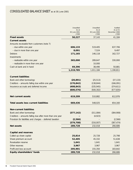## *CONSOLIDATED BALANCE SHEET* as at 30 June 2001

|                                                           | Unaudited<br>As at    | Unaudited<br>As at    | Audited<br>As at 31    |
|-----------------------------------------------------------|-----------------------|-----------------------|------------------------|
|                                                           | 30 June 2001<br>£'000 | 30 June 2000<br>£'000 | December 2000<br>£'000 |
| <b>Fixed assets</b>                                       | 50,227                | 37,143                | 41,184                 |
| <b>Current assets</b>                                     |                       |                       |                        |
| Amounts receivable from customers (note 7)                |                       |                       |                        |
| - due within one year                                     | 606,133               | 519,405               | 637,706                |
| - due in more than one year                               | 8,091                 | 7,524                 | 9,497                  |
| <b>Debtors</b>                                            | 171,165               | 146,118               | 162,727                |
| Investments                                               |                       |                       |                        |
| - realisable within one year                              | 365,000               | 289,647               | 330,000                |
| - realisable in more than one year                        |                       | 10,000                |                        |
| Cash at bank and in hand                                  | 69,396                | 38,490                | 50,881                 |
|                                                           | 1,219,785             | 1,011,184             | 1,190,811              |
| <b>Current liabilities</b>                                |                       |                       |                        |
| Bank and other borrowings                                 | (20, 891)             | (25, 513)             | (37, 133)              |
| Creditors - amounts falling due within one year           | (170, 842)            | (138, 844)            | (166, 091)             |
| Insurance accruals and deferred income                    | (408, 843)            | (335, 945)            | (374, 611)             |
|                                                           | (600, 576)            | (500, 302)            | (577, 835)             |
| <b>Net current assets</b>                                 | 619,209               | 510,882               | 612,976                |
| <b>Total assets less current liabilities</b>              | 669,436               | 548,025               | 654,160                |
| <b>Non-current liabilities</b>                            |                       |                       |                        |
| Bank and other borrowings                                 | (377, 142)            | (311,084)             | (384,908)              |
| Creditors - amounts falling due after more than one year  |                       | (4,923)               |                        |
| Provision for liabilities and charges - deferred taxation | (2,566)               |                       | (2,566)                |
|                                                           | (379, 708)            | (316,007)             | (387, 474)             |
| <b>Net assets</b>                                         | 289,728               | 232,018               | 266,686                |
| <b>Capital and reserves</b>                               |                       |                       |                        |
| Called-up share capital                                   | 25,814                | 25,728                | 25,798                 |
| Share premium account                                     | 52,405                | 45,332                | 51,638                 |
| Revaluation reserve                                       | 1,641                 | 1,641                 | 1,641                  |
| Other reserves                                            | 3,967                 | 3,967                 | 3,967                  |
| Profit and loss account                                   | 205,901               | 155,350               | 183,642                |
| Equity shareholders' funds                                | 289,728               | 232,018               | 266,686                |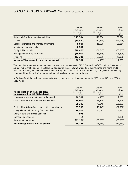|                                              | Unaudited<br>Half-year to<br>30 June 2001<br>£'000 | Unaudited<br>Half-year to<br>30 June 2000<br>£'000 | Audited<br>Full year<br>2000<br>£'000 |
|----------------------------------------------|----------------------------------------------------|----------------------------------------------------|---------------------------------------|
| Net cash inflow from operating activities    | 145,314                                            | 116,934                                            | 136,994                               |
| Taxation                                     | (15, 867)                                          | (17, 160)                                          | (49, 628)                             |
| Capital expenditure and financial investment | (8, 816)                                           | 15,920                                             | 28,264                                |
| Acquisitions and disposals                   | (2, 510)                                           |                                                    |                                       |
| Equity dividends paid                        | (40, 401)                                          | (36, 545)                                          | (63, 367)                             |
| Management of liquid resources               | (35,000)                                           | (53, 345)                                          | (98, 698)                             |
| Financing                                    | (22, 328)                                          | (29,909)                                           | 48.938                                |
| Increase/(decrease) in cash in the period    | 20,392                                             | (4, 105)                                           | 2.503                                 |

The cash flow statement above has been prepared in accordance with FRS 1 (Revised 1996) "Cash Flow Statements". As required by that standard, the statement aggregates the cash flows arising from the insurance and home credit divisions. However, the cash and investments held by the insurance division are required by its regulators to be strictly segregated from the rest of the group and are not available to repay group borrowings.

At 30 June 2001 the cash and investments held by the insurance division amounted to £386 million (30 June 2000 – £316 million).

| Reconciliation of net cash flow<br>to movement in net (debt)/funds | Unaudited<br>Half-year to<br>30 June 2001<br>£'000 | Unaudited<br>Half-year to<br>30 June 2000<br>£'000 | Audited<br>Full year<br>2000<br>£'000 |
|--------------------------------------------------------------------|----------------------------------------------------|----------------------------------------------------|---------------------------------------|
| Increase/(decrease) in net cash for the period                     | 20,392                                             | (4, 105)                                           | 2,503                                 |
| Cash outflow from increase in liquid resources                     | 35,000                                             | 53,345                                             | 98.698                                |
|                                                                    | 55,392                                             | 49.240                                             | 101.201                               |
| Cash outflow/(inflow) from decrease/(increase) in debt             | 23,111                                             | (19, 143)                                          | (97, 766)                             |
| Change in net debt resulting from cash flows                       | 78,503                                             | 30.097                                             | 3.435                                 |
| Loans relating to business acquired                                | (975)                                              |                                                    |                                       |
| Exchange adjustments                                               | (5)                                                |                                                    | (1,038)                               |
| Net debt at start of period                                        | (51, 160)                                          | (53, 557)                                          | (53, 557)                             |
| Net funds/(debt) at end of period                                  | 26,363                                             | (23, 460)                                          | (51, 160)                             |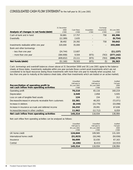|                                         | 31 December   |                     |                      | Exchange           |                       |
|-----------------------------------------|---------------|---------------------|----------------------|--------------------|-----------------------|
| Analysis of changes in net funds/(debt) | 2000<br>£'000 | Cash flows<br>£'000 | Acquisition<br>£'000 | movements<br>£'000 | 30 June 2001<br>£'000 |
|                                         |               |                     |                      |                    |                       |
| Cash at bank and in hand                | 50,881        | 17.757              |                      | 758                | 69,396                |
| Overdrafts                              | (12.389)      | 2.635               |                      |                    | (9, 754)              |
|                                         | 38,492        | 20.392              |                      | 758                | 59,642                |
| Investments realisable within one year  | 320,000       | 35,000              |                      |                    | 355,000               |
| Bank and other borrowings               |               |                     |                      |                    |                       |
| - less than one year                    | (24.744)      | 13,607              |                      |                    | (11, 137)             |
| - more than one year                    | (384.908)     | 9.504               | (975)                | (763)              | (377, 142)            |
|                                         | (409.652)     | 23.111              | (975)                | (763)              | (388, 279)            |
| Net funds/(debt)                        | (51.160)      | 78.503              | (975)                | (5)                | 26,363                |

Cash, borrowings and overdraft balances shown above at 31 December 2000 and 30 June 2001 agree to the balance sheets at those dates. Investments realisable within one year exclude those current asset investments which are not considered to be liquid resources (being those investments with more than one year to maturity when acquired, but less than one year to maturity at the balance sheet date, other than investments which are traded on an active market).

|                                                          | Unaudited    | Unaudited    | Audited   |
|----------------------------------------------------------|--------------|--------------|-----------|
|                                                          | Half-year to | Half-year to | Full year |
| Reconciliation of operating profit to                    | 30 June 2001 | 30 June 2000 | 2000      |
| net cash inflow from operating activities                | £'000        | £'000        | £'000     |
| Operating profit                                         | 70,210       | 65,116       | 160,219   |
| Depreciation                                             | 3,549        | 2,858        | 5,935     |
| Loss on sale of tangible fixed assets                    | 124          | 154          | 312       |
| Decrease/(increase) in amounts receivable from customers | 33,381       | 48,203       | (72, 071) |
| Increase in debtors                                      | (8, 144)     | (15, 776)    | (33,098)  |
| Increase in insurance accruals and deferred income       | 34,232       | 29.091       | 67,638    |
| Increase/(decrease) in other creditors                   | 11,962       | (12, 712)    | 8,059     |
| Net cash inflow from operating activities                | 145,314      | 116,934      | 136,994   |

Net cash inflow from operating activities can be analysed as follows:

|                           | Unaudited<br>Half-year to<br>30 June 2001<br>£'000 | <b>Unaudited</b><br>Half-year to<br>30 June 2000<br>£'000 | Audited<br>Full year<br>2000<br>£'000 |
|---------------------------|----------------------------------------------------|-----------------------------------------------------------|---------------------------------------|
| UK home credit            | 124,644                                            | 109,565                                                   | 131,320                               |
| International home credit | (31, 923)                                          | (18, 246)                                                 | (50, 936)                             |
| <i>Insurance</i>          | 56,699                                             | 32,030                                                    | 67,163                                |
| Central                   | (4, 106)                                           | (6, 415)                                                  | (10, 553)                             |
|                           | 145,314                                            | 116,934                                                   | 136,994                               |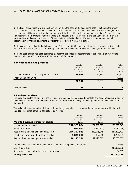**1** The financial information, which has been prepared on the basis of the accounting policies set out in the group's 2000 statutory accounts, does not constitute a set of statutory accounts and is unaudited. This document (the 2001 interim report) will be published on the company's website (in addition to the normal paper version). The maintenance and integrity of the Provident Financial website is the responsibility of the directors and the work carried out by the auditors does not involve consideration of these matters. Legislation in the UK governing the preparation and dissemination of financial statements may differ from legislation in other jurisdictions.

**2** The information relating to the full year ended 31 December 2000 is an extract from the latest published accounts on which the auditors gave an unqualified opinion and which have been delivered to the Registrar of Companies.

**3** The taxation charge has been calculated by applying the directors' best estimate of the effective tax rate for the year, which is 28% (30 June 2000 – 27%), to the profit for the period.

#### **4 Dividends paid and proposed**

|                                                   | Unaudited<br>Half-year to<br>30 June 2001<br>£'000 | Unaudited<br>Half-year to<br>30 June 2000<br>£'000 | Audited<br>Full year<br>2000<br>£'000 |
|---------------------------------------------------|----------------------------------------------------|----------------------------------------------------|---------------------------------------|
| Interim dividend declared $11.75p$ (2000 – 10.9p) | 28,946                                             | 25,333                                             | 25,421                                |
| Final dividend paid 16.4p                         | -                                                  |                                                    | 40,389                                |
|                                                   | 28,946                                             | 25,333                                             | 65,810                                |
|                                                   |                                                    |                                                    |                                       |
| Dividend cover                                    | 1.75                                               | 1.75                                               | 1.74                                  |

#### **5 Earnings per share**

The basic and diluted earnings per share figures have been calculated using the profit for the period attributed to ordinary shareholders of £50,551,000 (30 June 2000 – £47,535,000) and the weighted average number of shares in issue during the period.

The weighted average number of shares in issue during the period can be reconciled to the number used in the basic and diluted earnings per share calculations as follows:

| Weighted average number of shares              | Unaudited<br>Half-year to<br>30 June 2001<br><b>Number</b> | Unaudited<br>Half-year to<br>30 June 2000<br>Number | Audited<br>Full year<br>2000<br>Number |
|------------------------------------------------|------------------------------------------------------------|-----------------------------------------------------|----------------------------------------|
| In issue during the period                     | 248,965,864                                                | 252.066.217                                         | 250,221,347                            |
| Held by the QUEST                              | (2,643,915)                                                | (2,990,972)                                         | (2,727,626)                            |
| Used in basic earnings per share calculation   | 246,321,949                                                | 249.075.245                                         | 247,493,721                            |
| Issuable on conversion of outstanding options  | 1,821,287                                                  | 852,768                                             | 1,286,831                              |
| Used in diluted earnings per share calculation | 248,143,236                                                | 249,928,013                                         | 248,780,552                            |

| The movement on the number of shares in issue during the period is as follows: | Number      |
|--------------------------------------------------------------------------------|-------------|
| At 1 January 2001                                                              | 248,931,030 |
| Shares issued pursuant to the exercise of options                              | 184.309     |
| At 30 June 2001                                                                | 249,115,339 |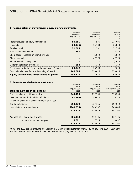#### **6 Reconciliation of movement in equity shareholders' funds**

|                                                           | Unaudited    | Unaudited    | Audited   |
|-----------------------------------------------------------|--------------|--------------|-----------|
|                                                           | Half-year to | Half-year to | Full year |
|                                                           | 30 June 2001 | 30 June 2000 | 2000      |
|                                                           | £'000        | £'000        | £'000     |
| Profit attributable to equity shareholders                | 50,551       | 47.535       | 117,606   |
| <b>Dividends</b>                                          | (28, 946)    | (25, 333)    | (65, 810) |
| Retained profit                                           | 21,605       | 22,202       | 51,796    |
| New share capital issued                                  | 783          |              | 6.376     |
| Share capital cancelled on share buy-back                 |              | (1.879)      | (1, 879)  |
| Share buy-back                                            |              | (47, 173)    | (47, 173) |
| Shares issued to the OUEST                                |              |              | (1,610)   |
| Currency translation differences                          | 654          | (148)        | 160       |
| Net addition to/(reduction in) equity shareholders' funds | 23,042       | (26,998)     | 7,670     |
| Equity shareholders' funds at beginning of period         | 266,686      | 259,016      | 259,016   |
| Equity shareholders' funds at end of period               | 289,728      | 232,018      | 266,686   |

#### **7 Amounts receivable from customers**

|                                                       | Unaudited<br>As at | Unaudited    | Audited<br>As at |
|-------------------------------------------------------|--------------------|--------------|------------------|
|                                                       |                    | As at        |                  |
|                                                       | 30 June 2001       | 30 June 2000 | 31 December 2000 |
| (a) Instalment credit receivables                     | £'000              | £'000        | £'000            |
| Gross instalment credit receivables                   | 945,475            | 817.536      | 976,269          |
| Less: provision for bad and doubtful debts            | (91, 196)          | (90, 420)    | (79, 220)        |
| Instalment credit receivables after provision for bad |                    |              |                  |
| and doubtful debts                                    | 854,279            | 727,116      | 897,049          |
| Less: deferred revenue thereon                        | (240, 055)         | (200, 187)   | (249, 846)       |
|                                                       | 614,224            | 526,929      | 647,203          |
|                                                       |                    |              |                  |
| Analysed as: - due within one year                    | 606,133            | 519,405      | 637,706          |
| - due in more than one year                           | 8,091              | 7.524        | 9,497            |
|                                                       | 614,224            | 526,929      | 647,203          |

At 30 June 2001 the net amounts receivable from UK home credit customers were £520.3m (30 June 2000 – £500.6m) and from international home credit customers were £93.9m (30 June 2000 – £26.3m).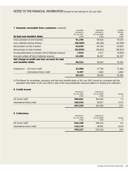#### **7 Amounts receivable from customers** continued

|                                                            | Unaudited    | Unaudited    | Audited   |
|------------------------------------------------------------|--------------|--------------|-----------|
|                                                            | Half-year to | Half-year to | Full year |
|                                                            | 30 June 2001 | 30 June 2000 | 2000      |
| (b) Bad and doubtful debts                                 | £'000        | £'000        | £'000     |
| Gross provision at end of period                           | 91,196       | 90,420       | 79,220    |
| Less: deferred revenue thereon                             | (28, 560)    | (26, 280)    | (24, 400) |
| Net provision at end of period                             | 62,636       | 64,140       | 54,820    |
| Net provision at start of period                           | (54, 820)    | (60, 823)    | (60, 823) |
| Increase/(decrease) in provision (net of deferred revenue) | 7,816        | 3.317        | (6,003)   |
| Amounts written off (net of deferred revenue)              | 42,499       | 36,307       | 82,307    |
| Net charge to profit and loss account for bad              |              |              |           |
| and doubtful debts                                         | 50,315       | 39,624       | 76,304    |
| Analysed as: - UK home credit                              | 41,008       | 37,760       | 71,460    |
| - International home credit                                | 9,307        | 1,864        | 4,844     |
|                                                            | 50,315       | 39,624       | 76,304    |
|                                                            |              |              |           |

(c) The figures for receivables, provisions and bad and doubtful debts at 30 June 2001 should be compared with the equivalent information at 30 June 2000 in view of the long-established seasonal patterns in lending and collections.

#### **8 Credit issued**

|                           | 497,535                      | 402,920                      | 23.5   |
|---------------------------|------------------------------|------------------------------|--------|
| International home credit | 106,934                      | 38,957                       | 174.5  |
| UK home credit            | 390,601                      | 363,963                      | 7.3    |
|                           | £'000                        | £'000                        | %      |
|                           | Half-year to<br>30 June 2001 | Half-year to<br>30 June 2000 | Growth |

#### **9 Collections**

|                           | Half-year to | Half-year to |        |
|---------------------------|--------------|--------------|--------|
|                           | 30 June 2001 | 30 June 2000 | Growth |
|                           | £'000        | £'000        | $\%$   |
| UK home credit            | 634,108      | 596,325      | 6.3    |
| International home credit | 116,119      | 36.891       | 214.8  |
|                           | 750,227      | 633,216      | 18.5   |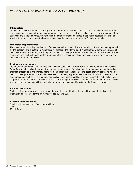### *INDEPENDENT REVIEW REPORT TO PROVIDENT FINANCIAL plc*

#### **Introduction**

We have been instructed by the company to review the financial information which comprises the consolidated profit and loss account, statement of total recognised gains and losses, consolidated balance sheet, consolidated cash flow statement and the related notes. We have read the other information contained in the interim report and considered whether it contains any apparent misstatements or material inconsistencies with the financial information.

#### **Directors' responsibilities**

The interim report, including the financial information contained therein, is the responsibility of, and has been approved by, the directors. The directors are responsible for preparing the interim report in accordance with the Listing Rules of the Financial Services Authority which require that the accounting policies and presentation applied to the interim figures should be consistent with those applied in preparing the preceding annual accounts except where any changes, and the reasons for them, are disclosed.

#### **Review work performed**

We conducted our review in accordance with guidance contained in Bulletin 1999/4 issued by the Auditing Practices Board for use in the United Kingdom. A review consists principally of making enquiries of management and applying analytical procedures to the financial information and underlying financial data, and based thereon, assessing whether the accounting policies and presentation have been consistently applied unless otherwise disclosed. A review excludes audit procedures such as tests of controls and verification of assets, liabilities and transactions. It is substantially less in scope than an audit performed in accordance with United Kingdom Auditing Standards and therefore provides a lower level of assurance than an audit. Accordingly, we do not express an audit opinion on the financial information.

#### **Review conclusion**

On the basis of our review we are not aware of any material modifications that should be made to the financial information as presented for the six months ended 30 June 2001.

#### **PricewaterhouseCoopers**

Chartered Accountants and Registered Auditors **Leeds** 23 July 2001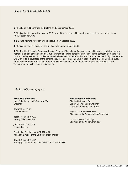### *SHAREHOLDER INFORMATION*

**1** The shares will be marked ex-dividend on 19 September 2001.

**2** The interim dividend will be paid on 19 October 2001 to shareholders on the register at the close of business on 21 September 2001.

- **3** Dividend warrants/vouchers will be posted on 17 October 2001.
- **4** The interim report is being posted to shareholders on 3 August 2001.

**5** The Provident Financial Company Nominee Scheme ("the scheme") enables shareholders who are eligible, namely individuals, to take advantage of the CREST system for settling transactions in shares in the company by means of a low-cost dealing service. It includes a dividend reinvestment scheme for those who wish to use this facility. Shareholders who wish to take advantage of the scheme should contact the company's registrar, Capita IRG Plc, Bourne House, 34 Beckenham Road, Beckenham, Kent BR3 4TU (telephone: 0208 639 2000) to request an information pack. The registrar's website is www.capita-irg.com.

*DIRECTORS* as at 23 July 2001

#### **Executive directors**

John P de Blocq van Kuffeler MA FCA Chairman

Howard J Bell MBA Chief Executive

Robin J Ashton BA ACA Deputy Chief Executive

John A Harnett BA ACA Finance Director

Christopher C Johnstone ACA ATII MBA Managing Director of the UK home credit division

David R Swann BA MBA Managing Director of the international home credit division

#### **Non-executive directors**

Charles H Gregson BA Deputy Chairman and Chairman of the Risk Advisory Committee

Angela C M Heylin OBE FIPR Chairman of the Remuneration Committee

John H Maxwell CA CIMgt Chairman of the Audit Committee